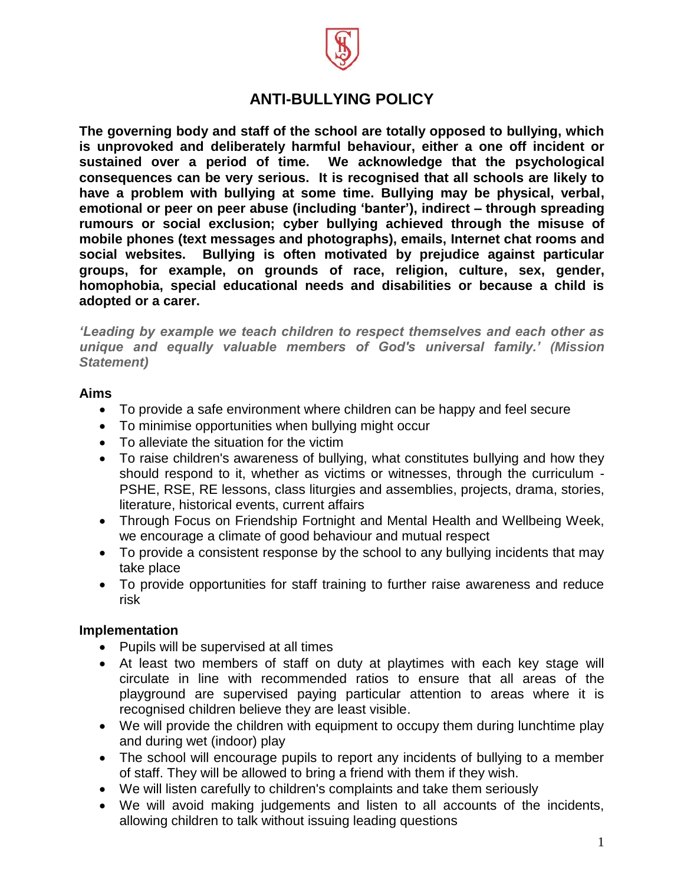

# **ANTI-BULLYING POLICY**

**The governing body and staff of the school are totally opposed to bullying, which is unprovoked and deliberately harmful behaviour, either a one off incident or sustained over a period of time. We acknowledge that the psychological consequences can be very serious. It is recognised that all schools are likely to have a problem with bullying at some time. Bullying may be physical, verbal, emotional or peer on peer abuse (including 'banter'), indirect – through spreading rumours or social exclusion; cyber bullying achieved through the misuse of mobile phones (text messages and photographs), emails, Internet chat rooms and social websites. Bullying is often motivated by prejudice against particular groups, for example, on grounds of race, religion, culture, sex, gender, homophobia, special educational needs and disabilities or because a child is adopted or a carer.**

*'Leading by example we teach children to respect themselves and each other as unique and equally valuable members of God's universal family.' (Mission Statement)*

#### **Aims**

- To provide a safe environment where children can be happy and feel secure
- To minimise opportunities when bullying might occur
- To alleviate the situation for the victim
- To raise children's awareness of bullying, what constitutes bullying and how they should respond to it, whether as victims or witnesses, through the curriculum - PSHE, RSE, RE lessons, class liturgies and assemblies, projects, drama, stories, literature, historical events, current affairs
- Through Focus on Friendship Fortnight and Mental Health and Wellbeing Week, we encourage a climate of good behaviour and mutual respect
- To provide a consistent response by the school to any bullying incidents that may take place
- To provide opportunities for staff training to further raise awareness and reduce risk

### **Implementation**

- Pupils will be supervised at all times
- At least two members of staff on duty at playtimes with each key stage will circulate in line with recommended ratios to ensure that all areas of the playground are supervised paying particular attention to areas where it is recognised children believe they are least visible.
- We will provide the children with equipment to occupy them during lunchtime play and during wet (indoor) play
- The school will encourage pupils to report any incidents of bullying to a member of staff. They will be allowed to bring a friend with them if they wish.
- We will listen carefully to children's complaints and take them seriously
- We will avoid making judgements and listen to all accounts of the incidents, allowing children to talk without issuing leading questions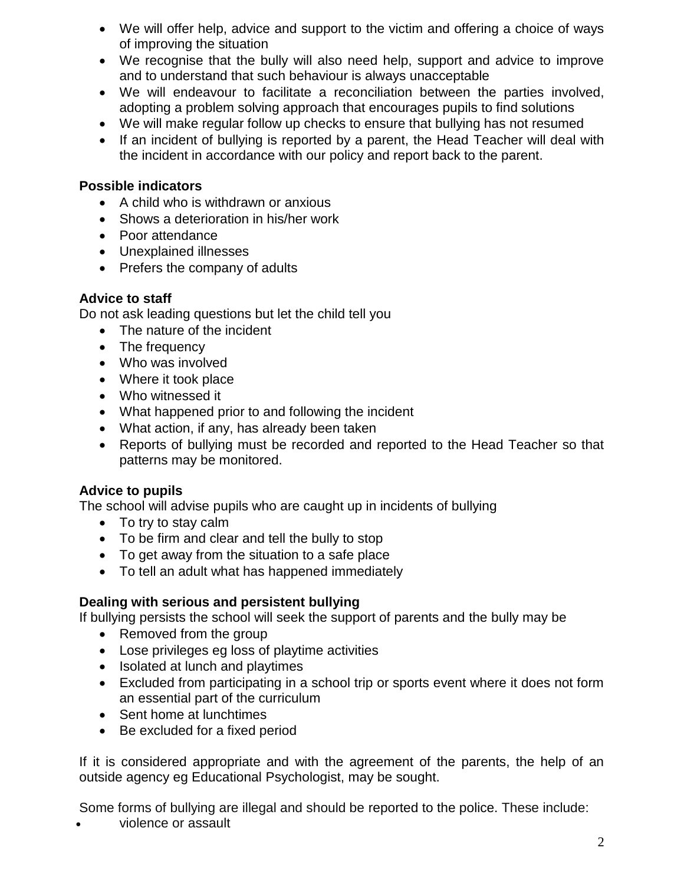- We will offer help, advice and support to the victim and offering a choice of ways of improving the situation
- We recognise that the bully will also need help, support and advice to improve and to understand that such behaviour is always unacceptable
- We will endeavour to facilitate a reconciliation between the parties involved, adopting a problem solving approach that encourages pupils to find solutions
- We will make regular follow up checks to ensure that bullying has not resumed
- If an incident of bullying is reported by a parent, the Head Teacher will deal with the incident in accordance with our policy and report back to the parent.

### **Possible indicators**

- A child who is withdrawn or anxious
- Shows a deterioration in his/her work
- Poor attendance
- Unexplained illnesses
- Prefers the company of adults

# **Advice to staff**

Do not ask leading questions but let the child tell you

- The nature of the incident
- The frequency
- Who was involved
- Where it took place
- Who witnessed it
- What happened prior to and following the incident
- What action, if any, has already been taken
- Reports of bullying must be recorded and reported to the Head Teacher so that patterns may be monitored.

# **Advice to pupils**

The school will advise pupils who are caught up in incidents of bullying

- To try to stay calm
- To be firm and clear and tell the bully to stop
- To get away from the situation to a safe place
- To tell an adult what has happened immediately

# **Dealing with serious and persistent bullying**

If bullying persists the school will seek the support of parents and the bully may be

- Removed from the group
- Lose privileges eg loss of playtime activities
- Isolated at lunch and playtimes
- Excluded from participating in a school trip or sports event where it does not form an essential part of the curriculum
- Sent home at lunchtimes
- Be excluded for a fixed period

If it is considered appropriate and with the agreement of the parents, the help of an outside agency eg Educational Psychologist, may be sought.

Some forms of bullying are illegal and should be [reported](http://www.police.uk/) to the police. These include:

violence or assault